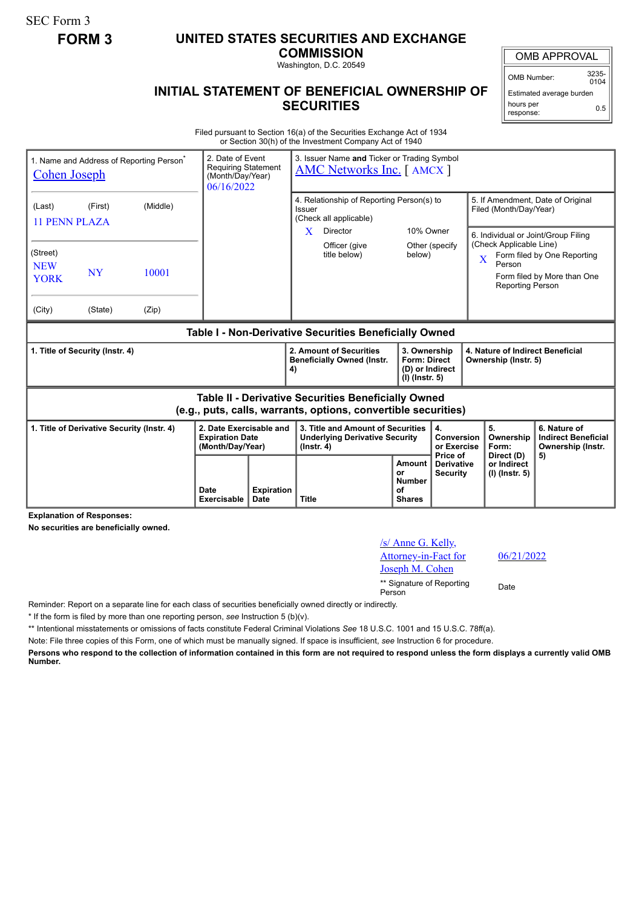SEC Form 3

## **FORM 3 UNITED STATES SECURITIES AND EXCHANGE**

**COMMISSION**

Washington, D.C. 20549

## OMB APPROVAL

OMB Number: 3235-  $0104$ 

Estimated average burden hours per response: 0.5

## **INITIAL STATEMENT OF BENEFICIAL OWNERSHIP OF SECURITIES**

Filed pursuant to Section 16(a) of the Securities Exchange Act of 1934 or Section 30(h) of the Investment Company Act of 1940

| 1. Name and Address of Reporting Person <sup>®</sup><br><b>Cohen Joseph</b>                                           | 2. Date of Event<br><b>Requiring Statement</b><br>(Month/Day/Year)<br>06/16/2022 |                                                                       | 3. Issuer Name and Ticker or Trading Symbol<br><b>AMC Networks Inc.</b> [AMCX ] |                                                                                                |                                                                                                             |                                                              |                                                                          |                                                  |                                                                                                                       |                                                            |
|-----------------------------------------------------------------------------------------------------------------------|----------------------------------------------------------------------------------|-----------------------------------------------------------------------|---------------------------------------------------------------------------------|------------------------------------------------------------------------------------------------|-------------------------------------------------------------------------------------------------------------|--------------------------------------------------------------|--------------------------------------------------------------------------|--------------------------------------------------|-----------------------------------------------------------------------------------------------------------------------|------------------------------------------------------------|
| (Last)<br>11 PENN PLAZA                                                                                               | (First)                                                                          | (Middle)                                                              |                                                                                 |                                                                                                | 4. Relationship of Reporting Person(s) to<br>Issuer<br>(Check all applicable)<br>10% Owner<br>X<br>Director |                                                              |                                                                          |                                                  | 5. If Amendment, Date of Original<br>Filed (Month/Day/Year)                                                           |                                                            |
| (Street)<br><b>NEW</b><br><b>YORK</b><br>(City)                                                                       | <b>NY</b><br>(State)                                                             | 10001<br>(Zip)                                                        |                                                                                 |                                                                                                |                                                                                                             | Officer (give<br>title below)                                | below)                                                                   | Other (specify)                                  | 6. Individual or Joint/Group Filing<br>(Check Applicable Line)<br>$\overline{X}$<br>Person<br><b>Reporting Person</b> | Form filed by One Reporting<br>Form filed by More than One |
| Table I - Non-Derivative Securities Beneficially Owned                                                                |                                                                                  |                                                                       |                                                                                 |                                                                                                |                                                                                                             |                                                              |                                                                          |                                                  |                                                                                                                       |                                                            |
| 1. Title of Security (Instr. 4)                                                                                       |                                                                                  |                                                                       |                                                                                 |                                                                                                | 4)                                                                                                          | 2. Amount of Securities<br><b>Beneficially Owned (Instr.</b> | 3. Ownership<br><b>Form: Direct</b><br>(D) or Indirect<br>(I) (Instr. 5) |                                                  | 4. Nature of Indirect Beneficial<br>Ownership (Instr. 5)                                                              |                                                            |
| Table II - Derivative Securities Beneficially Owned<br>(e.g., puts, calls, warrants, options, convertible securities) |                                                                                  |                                                                       |                                                                                 |                                                                                                |                                                                                                             |                                                              |                                                                          |                                                  |                                                                                                                       |                                                            |
| 1. Title of Derivative Security (Instr. 4)                                                                            |                                                                                  | 2. Date Exercisable and<br><b>Expiration Date</b><br>(Month/Day/Year) |                                                                                 | 3. Title and Amount of Securities<br><b>Underlying Derivative Security</b><br>$($ lnstr. 4 $)$ |                                                                                                             |                                                              | 4.<br>Conversion<br>or Exercise                                          | 5.<br>Ownership<br>Form:                         | 6. Nature of<br><b>Indirect Beneficial</b><br>Ownership (Instr.                                                       |                                                            |
|                                                                                                                       |                                                                                  |                                                                       | Date<br>Exercisable                                                             | <b>Expiration</b><br>Date                                                                      | <b>Title</b>                                                                                                |                                                              | Amount<br>or<br><b>Number</b><br>οf<br><b>Shares</b>                     | Price of<br><b>Derivative</b><br><b>Security</b> | Direct (D)<br>or Indirect<br>(I) (Instr. 5)                                                                           | 5)                                                         |

**Explanation of Responses:**

**No securities are beneficially owned.**

| /s/ Anne G. Kelly,                  |      |
|-------------------------------------|------|
| Attorney-in-Fact for                | 06/2 |
| Joseph M. Cohen                     |      |
| ** Signature of Reporting<br>Person | Date |

06/21/2022

Reminder: Report on a separate line for each class of securities beneficially owned directly or indirectly.

\* If the form is filed by more than one reporting person, *see* Instruction 5 (b)(v).

\*\* Intentional misstatements or omissions of facts constitute Federal Criminal Violations *See* 18 U.S.C. 1001 and 15 U.S.C. 78ff(a).

Note: File three copies of this Form, one of which must be manually signed. If space is insufficient, *see* Instruction 6 for procedure.

**Persons who respond to the collection of information contained in this form are not required to respond unless the form displays a currently valid OMB Number.**